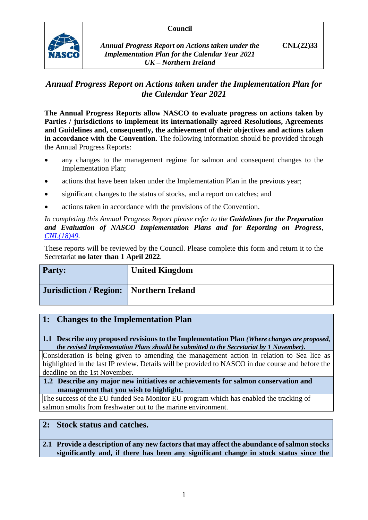## **Council**



# *Annual Progress Report on Actions taken under the Implementation Plan for the Calendar Year 2021*

**The Annual Progress Reports allow NASCO to evaluate progress on actions taken by Parties / jurisdictions to implement its internationally agreed Resolutions, Agreements and Guidelines and, consequently, the achievement of their objectives and actions taken** in accordance with the Convention. The following information should be provided through the Annual Progress Reports:

- any changes to the management regime for salmon and consequent changes to the Implementation Plan;
- actions that have been taken under the Implementation Plan in the previous year;
- significant changes to the status of stocks, and a report on catches; and
- actions taken in accordance with the provisions of the Convention.

*In completing this Annual Progress Report please refer to the Guidelines for the Preparation and Evaluation of NASCO Implementation Plans and for Reporting on Progress, [CNL\(18\)49.](https://nasco.int/wp-content/uploads/2020/02/CNL1849_Guidelines-for-the-Preparation-and-Evaluation-of-NASCO-Implementation-Plans-and-for-Reporting-on-Progress.pdf)*

These reports will be reviewed by the Council. Please complete this form and return it to the Secretariat **no later than 1 April 2022**.

| Party:                        | <b>United Kingdom</b> |
|-------------------------------|-----------------------|
| <b>Jurisdiction / Region:</b> | Northern Ireland      |

## **1: Changes to the Implementation Plan**

**1.1 Describe any proposed revisions to the Implementation Plan** *(Where changes are proposed, the revised Implementation Plans should be submitted to the Secretariat by 1 November).*

Consideration is being given to amending the management action in relation to Sea lice as highlighted in the last IP review. Details will be provided to NASCO in due course and before the deadline on the 1st November.

#### **1.2 Describe any major new initiatives or achievements for salmon conservation and management that you wish to highlight.**

The success of the EU funded Sea Monitor EU program which has enabled the tracking of salmon smolts from freshwater out to the marine environment.

## **2: Stock status and catches.**

## **2.1 Provide a description of any new factors that may affect the abundance of salmon stocks significantly and, if there has been any significant change in stock status since the**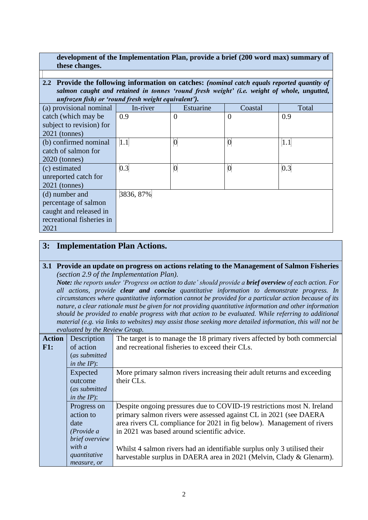### **development of the Implementation Plan, provide a brief (200 word max) summary of these changes.**

**2.2 Provide the following information on catches:** *(nominal catch equals reported quantity of salmon caught and retained in tonnes 'round fresh weight' (i.e. weight of whole, ungutted, unfrozen fish) or 'round fresh weight equivalent').*

| (a) provisional nominal   | In-river  | Estuarine        | Coastal         | Total |
|---------------------------|-----------|------------------|-----------------|-------|
| catch (which may be       | 0.9       | $\overline{0}$   | $\theta$        | 0.9   |
| subject to revision) for  |           |                  |                 |       |
| $2021$ (tonnes)           |           |                  |                 |       |
| (b) confirmed nominal     | 1.1       | $\boldsymbol{0}$ | $\vert 0 \vert$ | 1.1   |
| catch of salmon for       |           |                  |                 |       |
| $2020$ (tonnes)           |           |                  |                 |       |
| (c) estimated             | 0.3       | $\boldsymbol{0}$ | $\overline{0}$  | 0.3   |
| unreported catch for      |           |                  |                 |       |
| $2021$ (tonnes)           |           |                  |                 |       |
| (d) number and            | 3836, 87% |                  |                 |       |
| percentage of salmon      |           |                  |                 |       |
| caught and released in    |           |                  |                 |       |
| recreational fisheries in |           |                  |                 |       |
| 2021                      |           |                  |                 |       |

## **3: Implementation Plan Actions.**

#### **3.1 Provide an update on progress on actions relating to the Management of Salmon Fisheries**  *(section 2.9 of the Implementation Plan).*

*Note: the reports under 'Progress on action to date' should provide a brief overview of each action. For all actions, provide clear and concise quantitative information to demonstrate progress. In circumstances where quantitative information cannot be provided for a particular action because of its nature, a clear rationale must be given for not providing quantitative information and other information should be provided to enable progress with that action to be evaluated. While referring to additional material (e.g. via links to websites) may assist those seeking more detailed information, this will not be evaluated by the Review Group.*

|               | $\sigma$ , $\sigma$ , $\sigma$ , $\sigma$ , $\sigma$ , $\sigma$ , $\sigma$ , $\sigma$ , $\sigma$ , $\sigma$ , $\sigma$ , $\sigma$ , $\sigma$ , $\sigma$ , $\sigma$ , $\sigma$ , $\sigma$ , $\sigma$ , $\sigma$ , $\sigma$ , $\sigma$ , $\sigma$ , $\sigma$ , $\sigma$ , $\sigma$ , $\sigma$ , $\sigma$ , $\sigma$ , $\sigma$ , $\sigma$ , $\sigma$ , $\sigma$ , $\sigma$ , $\sigma$ , $\sigma$ , $\sigma$ , $\sigma$ , |                                                                           |
|---------------|------------------------------------------------------------------------------------------------------------------------------------------------------------------------------------------------------------------------------------------------------------------------------------------------------------------------------------------------------------------------------------------------------------------------|---------------------------------------------------------------------------|
| <b>Action</b> | Description                                                                                                                                                                                                                                                                                                                                                                                                            | The target is to manage the 18 primary rivers affected by both commercial |
| F1:           | of action                                                                                                                                                                                                                                                                                                                                                                                                              | and recreational fisheries to exceed their CLs.                           |
|               | (as submitted                                                                                                                                                                                                                                                                                                                                                                                                          |                                                                           |
|               | in the $IP$ :                                                                                                                                                                                                                                                                                                                                                                                                          |                                                                           |
|               | Expected                                                                                                                                                                                                                                                                                                                                                                                                               | More primary salmon rivers increasing their adult returns and exceeding   |
|               | outcome                                                                                                                                                                                                                                                                                                                                                                                                                | their CLs.                                                                |
|               | (as submitted                                                                                                                                                                                                                                                                                                                                                                                                          |                                                                           |
|               | in the $IP$ :                                                                                                                                                                                                                                                                                                                                                                                                          |                                                                           |
|               | Progress on                                                                                                                                                                                                                                                                                                                                                                                                            | Despite ongoing pressures due to COVID-19 restrictions most N. Ireland    |
|               | action to                                                                                                                                                                                                                                                                                                                                                                                                              | primary salmon rivers were assessed against CL in 2021 (see DAERA         |
|               | date                                                                                                                                                                                                                                                                                                                                                                                                                   | area rivers CL compliance for 2021 in fig below). Management of rivers    |
|               | (Provide a                                                                                                                                                                                                                                                                                                                                                                                                             | in 2021 was based around scientific advice.                               |
|               | brief overview                                                                                                                                                                                                                                                                                                                                                                                                         |                                                                           |
|               | with a                                                                                                                                                                                                                                                                                                                                                                                                                 | Whilst 4 salmon rivers had an identifiable surplus only 3 utilised their  |
|               | quantitative                                                                                                                                                                                                                                                                                                                                                                                                           | harvestable surplus in DAERA area in 2021 (Melvin, Clady & Glenarm).      |
|               | measure, or                                                                                                                                                                                                                                                                                                                                                                                                            |                                                                           |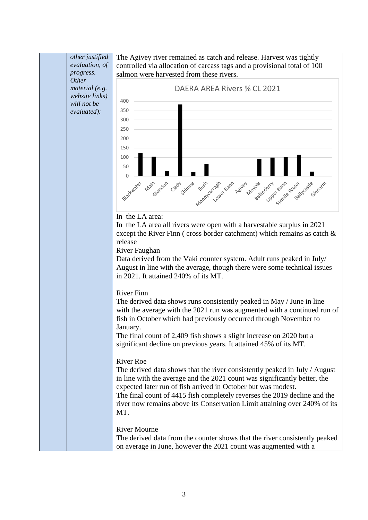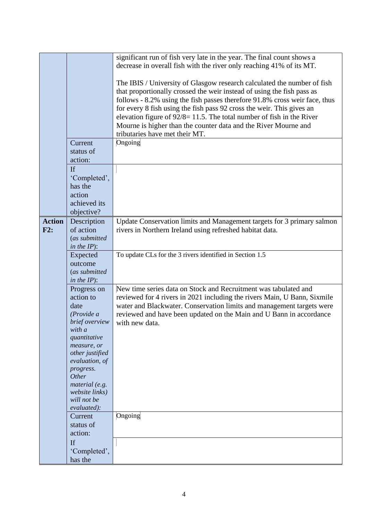|               |                             | significant run of fish very late in the year. The final count shows a                            |
|---------------|-----------------------------|---------------------------------------------------------------------------------------------------|
|               |                             | decrease in overall fish with the river only reaching 41% of its MT.                              |
|               |                             | The IBIS / University of Glasgow research calculated the number of fish                           |
|               |                             | that proportionally crossed the weir instead of using the fish pass as                            |
|               |                             | follows - 8.2% using the fish passes therefore 91.8% cross weir face, thus                        |
|               |                             | for every 8 fish using the fish pass 92 cross the weir. This gives an                             |
|               |                             | elevation figure of $92/8 = 11.5$ . The total number of fish in the River                         |
|               |                             |                                                                                                   |
|               |                             | Mourne is higher than the counter data and the River Mourne and<br>tributaries have met their MT. |
|               |                             |                                                                                                   |
|               | Current                     | Ongoing                                                                                           |
|               | status of                   |                                                                                                   |
|               | action:                     |                                                                                                   |
|               | <b>If</b>                   |                                                                                                   |
|               | 'Completed',                |                                                                                                   |
|               | has the                     |                                                                                                   |
|               | action                      |                                                                                                   |
|               | achieved its                |                                                                                                   |
|               | objective?                  |                                                                                                   |
| <b>Action</b> | Description                 | Update Conservation limits and Management targets for 3 primary salmon                            |
| F2:           | of action                   | rivers in Northern Ireland using refreshed habitat data.                                          |
|               | (as submitted               |                                                                                                   |
|               | in the $IP$ ):              | To update CLs for the 3 rivers identified in Section 1.5                                          |
|               | Expected<br>outcome         |                                                                                                   |
|               | (as submitted               |                                                                                                   |
|               | in the $IP$ ):              |                                                                                                   |
|               | Progress on                 | New time series data on Stock and Recruitment was tabulated and                                   |
|               | action to                   | reviewed for 4 rivers in 2021 including the rivers Main, U Bann, Sixmile                          |
|               | date                        | water and Blackwater. Conservation limits and management targets were                             |
|               | (Provide a                  | reviewed and have been updated on the Main and U Bann in accordance                               |
|               | brief overview              | with new data.                                                                                    |
|               | with a                      |                                                                                                   |
|               | quantitative                |                                                                                                   |
|               | measure, or                 |                                                                                                   |
|               | other justified             |                                                                                                   |
|               | evaluation, of<br>progress. |                                                                                                   |
|               | <b>Other</b>                |                                                                                                   |
|               | material (e.g.              |                                                                                                   |
|               | website links)              |                                                                                                   |
|               | will not be                 |                                                                                                   |
|               | evaluated):                 |                                                                                                   |
|               | Current                     | Ongoing                                                                                           |
|               | status of                   |                                                                                                   |
|               | action:                     |                                                                                                   |
|               | If                          |                                                                                                   |
|               | 'Completed',                |                                                                                                   |
|               | has the                     |                                                                                                   |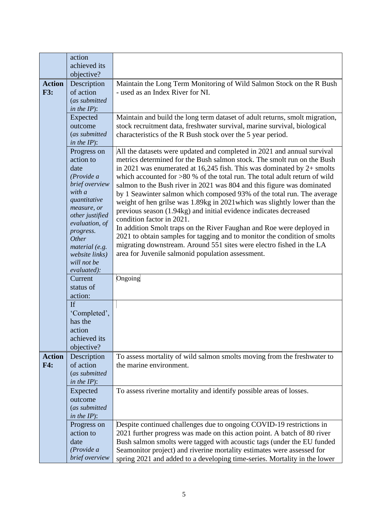|               | action                            |                                                                                                                                                         |
|---------------|-----------------------------------|---------------------------------------------------------------------------------------------------------------------------------------------------------|
|               | achieved its                      |                                                                                                                                                         |
|               | objective?                        |                                                                                                                                                         |
| <b>Action</b> | Description                       | Maintain the Long Term Monitoring of Wild Salmon Stock on the R Bush                                                                                    |
| <b>F3:</b>    | of action                         | - used as an Index River for NI.                                                                                                                        |
|               | (as submitted                     |                                                                                                                                                         |
|               | in the $IP$ ):                    |                                                                                                                                                         |
|               | Expected<br>outcome               | Maintain and build the long term dataset of adult returns, smolt migration,<br>stock recruitment data, freshwater survival, marine survival, biological |
|               | (as submitted                     | characteristics of the R Bush stock over the 5 year period.                                                                                             |
|               | in the $IP$ ):                    |                                                                                                                                                         |
|               | Progress on                       | All the datasets were updated and completed in 2021 and annual survival                                                                                 |
|               | action to                         | metrics determined for the Bush salmon stock. The smolt run on the Bush                                                                                 |
|               | date                              | in 2021 was enumerated at 16,245 fish. This was dominated by $2+$ smolts                                                                                |
|               | (Provide a                        | which accounted for $>80$ % of the total run. The total adult return of wild                                                                            |
|               | brief overview                    | salmon to the Bush river in 2021 was 804 and this figure was dominated                                                                                  |
|               | with a                            | by 1 Seawinter salmon which composed 93% of the total run. The average                                                                                  |
|               | quantitative                      | weight of hen grilse was 1.89kg in 2021 which was slightly lower than the                                                                               |
|               | measure, or                       | previous season (1.94kg) and initial evidence indicates decreased                                                                                       |
|               | other justified<br>evaluation, of | condition factor in 2021.                                                                                                                               |
|               | progress.                         | In addition Smolt traps on the River Faughan and Roe were deployed in                                                                                   |
|               | Other                             | 2021 to obtain samples for tagging and to monitor the condition of smolts                                                                               |
|               | material (e.g.                    | migrating downstream. Around 551 sites were electro fished in the LA                                                                                    |
|               | website links)                    | area for Juvenile salmonid population assessment.                                                                                                       |
|               | will not be                       |                                                                                                                                                         |
|               | evaluated):                       |                                                                                                                                                         |
|               | Current<br>status of              | Ongoing                                                                                                                                                 |
|               | action:                           |                                                                                                                                                         |
|               | <b>If</b>                         |                                                                                                                                                         |
|               | 'Completed',                      |                                                                                                                                                         |
|               | has the                           |                                                                                                                                                         |
|               | action                            |                                                                                                                                                         |
|               | achieved its                      |                                                                                                                                                         |
|               | objective?                        |                                                                                                                                                         |
| <b>Action</b> | Description                       | To assess mortality of wild salmon smolts moving from the freshwater to                                                                                 |
| F4:           | of action                         | the marine environment.                                                                                                                                 |
|               | (as submitted                     |                                                                                                                                                         |
|               | in the $IP$ ):                    |                                                                                                                                                         |
|               | Expected                          | To assess riverine mortality and identify possible areas of losses.                                                                                     |
|               | outcome                           |                                                                                                                                                         |
|               | (as submitted                     |                                                                                                                                                         |
|               | in the $IP$ ):<br>Progress on     | Despite continued challenges due to ongoing COVID-19 restrictions in                                                                                    |
|               | action to                         | 2021 further progress was made on this action point. A batch of 80 river                                                                                |
|               | date                              | Bush salmon smolts were tagged with acoustic tags (under the EU funded                                                                                  |
|               | (Provide a                        | Seamonitor project) and riverine mortality estimates were assessed for                                                                                  |
|               | brief overview                    | spring 2021 and added to a developing time-series. Mortality in the lower                                                                               |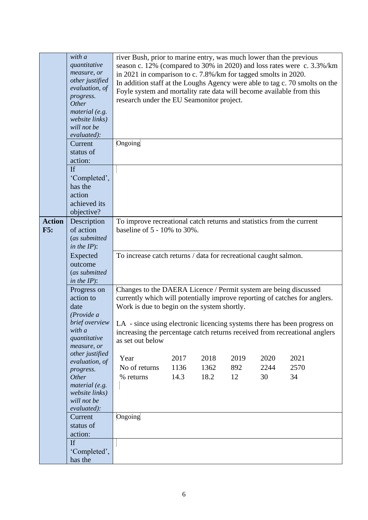|               | with a<br>quantitative<br>measure, or<br>other justified<br>evaluation, of<br>progress.<br><b>Other</b><br>material (e.g.<br>website links)<br>will not be<br>evaluated):<br>Current | river Bush, prior to marine entry, was much lower than the previous<br>in 2021 in comparison to c. 7.8%/km for tagged smolts in 2020.<br>Foyle system and mortality rate data will become available from this<br>research under the EU Seamonitor project.<br>Ongoing |      |      |      |      | season c. 12% (compared to 30% in 2020) and loss rates were c. 3.3%/km<br>In addition staff at the Loughs Agency were able to tag c. 70 smolts on the |
|---------------|--------------------------------------------------------------------------------------------------------------------------------------------------------------------------------------|-----------------------------------------------------------------------------------------------------------------------------------------------------------------------------------------------------------------------------------------------------------------------|------|------|------|------|-------------------------------------------------------------------------------------------------------------------------------------------------------|
|               | status of                                                                                                                                                                            |                                                                                                                                                                                                                                                                       |      |      |      |      |                                                                                                                                                       |
|               | action:                                                                                                                                                                              |                                                                                                                                                                                                                                                                       |      |      |      |      |                                                                                                                                                       |
|               | If<br>'Completed',                                                                                                                                                                   |                                                                                                                                                                                                                                                                       |      |      |      |      |                                                                                                                                                       |
|               | has the                                                                                                                                                                              |                                                                                                                                                                                                                                                                       |      |      |      |      |                                                                                                                                                       |
|               | action                                                                                                                                                                               |                                                                                                                                                                                                                                                                       |      |      |      |      |                                                                                                                                                       |
|               | achieved its<br>objective?                                                                                                                                                           |                                                                                                                                                                                                                                                                       |      |      |      |      |                                                                                                                                                       |
| <b>Action</b> | Description                                                                                                                                                                          | To improve recreational catch returns and statistics from the current                                                                                                                                                                                                 |      |      |      |      |                                                                                                                                                       |
| F5:           | of action                                                                                                                                                                            | baseline of $5 - 10\%$ to 30%.                                                                                                                                                                                                                                        |      |      |      |      |                                                                                                                                                       |
|               | (as submitted                                                                                                                                                                        |                                                                                                                                                                                                                                                                       |      |      |      |      |                                                                                                                                                       |
|               | in the $IP$ :                                                                                                                                                                        |                                                                                                                                                                                                                                                                       |      |      |      |      |                                                                                                                                                       |
|               | Expected<br>outcome                                                                                                                                                                  | To increase catch returns / data for recreational caught salmon.                                                                                                                                                                                                      |      |      |      |      |                                                                                                                                                       |
|               | (as submitted                                                                                                                                                                        |                                                                                                                                                                                                                                                                       |      |      |      |      |                                                                                                                                                       |
|               | in the $IP$ ):                                                                                                                                                                       |                                                                                                                                                                                                                                                                       |      |      |      |      |                                                                                                                                                       |
|               | Progress on<br>action to                                                                                                                                                             | Changes to the DAERA Licence / Permit system are being discussed                                                                                                                                                                                                      |      |      |      |      | currently which will potentially improve reporting of catches for anglers.                                                                            |
|               | date                                                                                                                                                                                 | Work is due to begin on the system shortly.                                                                                                                                                                                                                           |      |      |      |      |                                                                                                                                                       |
|               | (Provide a                                                                                                                                                                           |                                                                                                                                                                                                                                                                       |      |      |      |      |                                                                                                                                                       |
|               | brief overview<br>with a                                                                                                                                                             |                                                                                                                                                                                                                                                                       |      |      |      |      | LA - since using electronic licencing systems there has been progress on                                                                              |
|               | quantitative                                                                                                                                                                         | as set out below                                                                                                                                                                                                                                                      |      |      |      |      | increasing the percentage catch returns received from recreational anglers                                                                            |
|               | measure, or                                                                                                                                                                          |                                                                                                                                                                                                                                                                       |      |      |      |      |                                                                                                                                                       |
|               | other justified<br>evaluation, of                                                                                                                                                    | Year                                                                                                                                                                                                                                                                  | 2017 | 2018 | 2019 | 2020 | 2021                                                                                                                                                  |
|               | progress.                                                                                                                                                                            | No of returns                                                                                                                                                                                                                                                         | 1136 | 1362 | 892  | 2244 | 2570                                                                                                                                                  |
|               | <b>Other</b><br>material (e.g.                                                                                                                                                       | % returns                                                                                                                                                                                                                                                             | 14.3 | 18.2 | 12   | 30   | 34                                                                                                                                                    |
|               | website links)                                                                                                                                                                       |                                                                                                                                                                                                                                                                       |      |      |      |      |                                                                                                                                                       |
|               | will not be                                                                                                                                                                          |                                                                                                                                                                                                                                                                       |      |      |      |      |                                                                                                                                                       |
|               | evaluated):<br>Current                                                                                                                                                               | Ongoing                                                                                                                                                                                                                                                               |      |      |      |      |                                                                                                                                                       |
|               | status of                                                                                                                                                                            |                                                                                                                                                                                                                                                                       |      |      |      |      |                                                                                                                                                       |
|               | action:                                                                                                                                                                              |                                                                                                                                                                                                                                                                       |      |      |      |      |                                                                                                                                                       |
|               | If                                                                                                                                                                                   |                                                                                                                                                                                                                                                                       |      |      |      |      |                                                                                                                                                       |
|               | 'Completed',<br>has the                                                                                                                                                              |                                                                                                                                                                                                                                                                       |      |      |      |      |                                                                                                                                                       |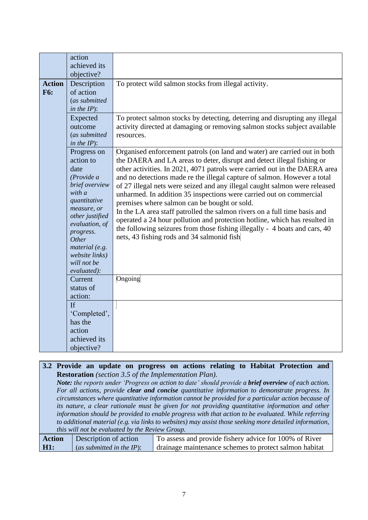| <b>Action</b><br><b>F6:</b> | action<br>achieved its<br>objective?<br>Description<br>of action<br>(as submitted<br>in the $IP$ :<br>Expected                                                                                                                         | To protect wild salmon stocks from illegal activity.<br>To protect salmon stocks by detecting, deterring and disrupting any illegal                                                                                                                                                                                                                                                                                                                                                                                                                                                                                                                                                                                                                                                                       |
|-----------------------------|----------------------------------------------------------------------------------------------------------------------------------------------------------------------------------------------------------------------------------------|-----------------------------------------------------------------------------------------------------------------------------------------------------------------------------------------------------------------------------------------------------------------------------------------------------------------------------------------------------------------------------------------------------------------------------------------------------------------------------------------------------------------------------------------------------------------------------------------------------------------------------------------------------------------------------------------------------------------------------------------------------------------------------------------------------------|
|                             | outcome<br>(as submitted<br>in the $IP$ :                                                                                                                                                                                              | activity directed at damaging or removing salmon stocks subject available<br>resources.                                                                                                                                                                                                                                                                                                                                                                                                                                                                                                                                                                                                                                                                                                                   |
|                             | Progress on<br>action to<br>date<br>(Provide a<br>brief overview<br>with a<br>quantitative<br>measure, or<br>other justified<br>evaluation, of<br>progress.<br>Other<br>material (e.g.<br>website links)<br>will not be<br>evaluated): | Organised enforcement patrols (on land and water) are carried out in both<br>the DAERA and LA areas to deter, disrupt and detect illegal fishing or<br>other activities. In 2021, 4071 patrols were carried out in the DAERA area<br>and no detections made re the illegal capture of salmon. However a total<br>of 27 illegal nets were seized and any illegal caught salmon were released<br>unharmed. In addition 35 inspections were carried out on commercial<br>premises where salmon can be bought or sold.<br>In the LA area staff patrolled the salmon rivers on a full time basis and<br>operated a 24 hour pollution and protection hotline, which has resulted in<br>the following seizures from those fishing illegally - 4 boats and cars, 40<br>nets, 43 fishing rods and 34 salmonid fish |
|                             | Current<br>status of<br>action:                                                                                                                                                                                                        | Ongoing                                                                                                                                                                                                                                                                                                                                                                                                                                                                                                                                                                                                                                                                                                                                                                                                   |
|                             | <b>If</b><br>'Completed',<br>has the<br>action<br>achieved its<br>objective?                                                                                                                                                           |                                                                                                                                                                                                                                                                                                                                                                                                                                                                                                                                                                                                                                                                                                                                                                                                           |

**3.2 Provide an update on progress on actions relating to Habitat Protection and Restoration** *(section 3.5 of the Implementation Plan). Note: the reports under 'Progress on action to date' should provide a brief overview of each action. For all actions, provide clear and concise quantitative information to demonstrate progress. In* 

*circumstances where quantitative information cannot be provided for a particular action because of its nature, a clear rationale must be given for not providing quantitative information and other information should be provided to enable progress with that action to be evaluated. While referring to additional material (e.g. via links to websites) may assist those seeking more detailed information, this will not be evaluated by the Review Group.*

| <b>Action</b> | Description of action        | To assess and provide fishery advice for 100% of River |
|---------------|------------------------------|--------------------------------------------------------|
| <b>H1:</b>    | (as submitted in the $IP$ ): | drainage maintenance schemes to protect salmon habitat |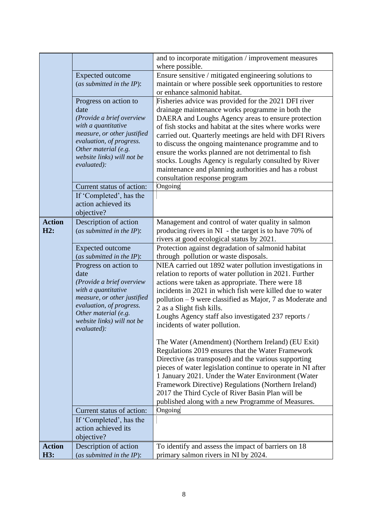|               |                                                  | and to incorporate mitigation / improvement measures<br>where possible. |
|---------------|--------------------------------------------------|-------------------------------------------------------------------------|
|               | <b>Expected outcome</b>                          | Ensure sensitive / mitigated engineering solutions to                   |
|               | (as submitted in the IP):                        | maintain or where possible seek opportunities to restore                |
|               |                                                  | or enhance salmonid habitat.                                            |
|               | Progress on action to                            | Fisheries advice was provided for the 2021 DFI river                    |
|               |                                                  |                                                                         |
|               | date                                             | drainage maintenance works programme in both the                        |
|               | (Provide a brief overview                        | DAERA and Loughs Agency areas to ensure protection                      |
|               | with a quantitative                              | of fish stocks and habitat at the sites where works were                |
|               | measure, or other justified                      | carried out. Quarterly meetings are held with DFI Rivers                |
|               | evaluation, of progress.<br>Other material (e.g. | to discuss the ongoing maintenance programme and to                     |
|               | website links) will not be                       | ensure the works planned are not detrimental to fish                    |
|               | evaluated):                                      | stocks. Loughs Agency is regularly consulted by River                   |
|               |                                                  | maintenance and planning authorities and has a robust                   |
|               |                                                  | consultation response program                                           |
|               | Current status of action:                        | Ongoing                                                                 |
|               | If 'Completed', has the                          |                                                                         |
|               | action achieved its                              |                                                                         |
|               | objective?                                       |                                                                         |
| <b>Action</b> | Description of action                            | Management and control of water quality in salmon                       |
| H2:           | (as submitted in the $IP$ ):                     | producing rivers in NI - the target is to have 70% of                   |
|               |                                                  | rivers at good ecological status by 2021.                               |
|               | <b>Expected outcome</b>                          | Protection against degradation of salmonid habitat                      |
|               | (as submitted in the IP):                        | through pollution or waste disposals.                                   |
|               | Progress on action to                            | NIEA carried out 1892 water pollution investigations in                 |
|               | date                                             | relation to reports of water pollution in 2021. Further                 |
|               | (Provide a brief overview                        | actions were taken as appropriate. There were 18                        |
|               | with a quantitative                              | incidents in 2021 in which fish were killed due to water                |
|               | measure, or other justified                      | pollution – 9 were classified as Major, 7 as Moderate and               |
|               | evaluation, of progress.                         | 2 as a Slight fish kills.                                               |
|               | Other material (e.g.                             | Loughs Agency staff also investigated 237 reports /                     |
|               | website links) will not be                       | incidents of water pollution.                                           |
|               | evaluated):                                      |                                                                         |
|               |                                                  | The Water (Amendment) (Northern Ireland) (EU Exit)                      |
|               |                                                  | Regulations 2019 ensures that the Water Framework                       |
|               |                                                  | Directive (as transposed) and the various supporting                    |
|               |                                                  | pieces of water legislation continue to operate in NI after             |
|               |                                                  | 1 January 2021. Under the Water Environment (Water                      |
|               |                                                  | Framework Directive) Regulations (Northern Ireland)                     |
|               |                                                  | 2017 the Third Cycle of River Basin Plan will be                        |
|               |                                                  | published along with a new Programme of Measures.                       |
|               | Current status of action:                        | Ongoing                                                                 |
|               | If 'Completed', has the                          |                                                                         |
|               | action achieved its                              |                                                                         |
|               | objective?                                       |                                                                         |
| <b>Action</b> | Description of action                            | To identify and assess the impact of barriers on 18                     |
| H3:           | (as submitted in the $IP$ ):                     | primary salmon rivers in NI by 2024.                                    |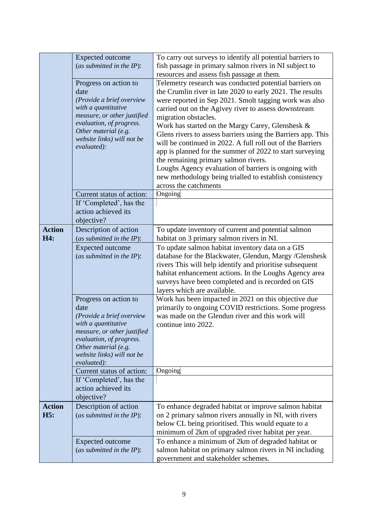|               | Expected outcome             | To carry out surveys to identify all potential barriers to   |
|---------------|------------------------------|--------------------------------------------------------------|
|               | (as submitted in the $IP$ ): | fish passage in primary salmon rivers in NI subject to       |
|               |                              | resources and assess fish passage at them.                   |
|               | Progress on action to        | Telemetry research was conducted potential barriers on       |
|               | date                         | the Crumlin river in late 2020 to early 2021. The results    |
|               | (Provide a brief overview    | were reported in Sep 2021. Smolt tagging work was also       |
|               | with a quantitative          | carried out on the Agivey river to assess downstream         |
|               | measure, or other justified  | migration obstacles.                                         |
|               | evaluation, of progress.     | Work has started on the Margy Carey, Glenshesk &             |
|               | Other material (e.g.         | Glens rivers to assess barriers using the Barriers app. This |
|               | website links) will not be   | will be continued in 2022. A full roll out of the Barriers   |
|               | evaluated):                  | app is planned for the summer of 2022 to start surveying     |
|               |                              | the remaining primary salmon rivers.                         |
|               |                              | Loughs Agency evaluation of barriers is ongoing with         |
|               |                              |                                                              |
|               |                              | new methodology being trialled to establish consistency      |
|               |                              | across the catchments                                        |
|               | Current status of action:    | Ongoing                                                      |
|               | If 'Completed', has the      |                                                              |
|               | action achieved its          |                                                              |
|               | objective?                   |                                                              |
| <b>Action</b> | Description of action        | To update inventory of current and potential salmon          |
| H4:           | (as submitted in the $IP$ ): | habitat on 3 primary salmon rivers in NI.                    |
|               | <b>Expected outcome</b>      | To update salmon habitat inventory data on a GIS             |
|               | (as submitted in the IP):    | database for the Blackwater, Glendun, Margy /Glenshesk       |
|               |                              | rivers This will help identify and prioritise subsequent     |
|               |                              | habitat enhancement actions. In the Loughs Agency area       |
|               |                              | surveys have been completed and is recorded on GIS           |
|               |                              | layers which are available.                                  |
|               | Progress on action to        | Work has been impacted in 2021 on this objective due         |
|               | date                         | primarily to ongoing COVID restrictions. Some progress       |
|               | (Provide a brief overview    | was made on the Glendun river and this work will             |
|               | with a quantitative          | continue into 2022.                                          |
|               | measure, or other justified  |                                                              |
|               | evaluation, of progress.     |                                                              |
|               | Other material (e.g.         |                                                              |
|               | website links) will not be   |                                                              |
|               | evaluated):                  |                                                              |
|               | Current status of action:    | Ongoing                                                      |
|               | If 'Completed', has the      |                                                              |
|               | action achieved its          |                                                              |
|               | objective?                   |                                                              |
| <b>Action</b> | Description of action        | To enhance degraded habitat or improve salmon habitat        |
| H5:           | (as submitted in the $IP$ ): | on 2 primary salmon rivers annually in NI, with rivers       |
|               |                              | below CL being prioritised. This would equate to a           |
|               |                              | minimum of 2km of upgraded river habitat per year.           |
|               | Expected outcome             | To enhance a minimum of 2km of degraded habitat or           |
|               | (as submitted in the $IP$ ): | salmon habitat on primary salmon rivers in NI including      |
|               |                              | government and stakeholder schemes.                          |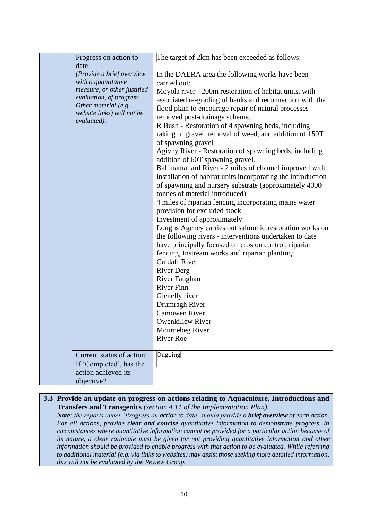| Progress on action to                                   | The target of 2km has been exceeded as follows:                                       |
|---------------------------------------------------------|---------------------------------------------------------------------------------------|
| date                                                    |                                                                                       |
| (Provide a brief overview                               | In the DAERA area the following works have been                                       |
| with a quantitative                                     | carried out:                                                                          |
| measure, or other justified<br>evaluation, of progress. | Moyola river - 200m restoration of habitat units, with                                |
| Other material (e.g.                                    | associated re-grading of banks and reconnection with the                              |
| website links) will not be                              | flood plain to encourage repair of natural processes                                  |
| evaluated):                                             | removed post-drainage scheme.<br>R Bush - Restoration of 4 spawning beds, including   |
|                                                         | raking of gravel, removal of weed, and addition of 150T                               |
|                                                         | of spawning gravel                                                                    |
|                                                         | Agivey River - Restoration of spawning beds, including                                |
|                                                         | addition of 60T spawning gravel.                                                      |
|                                                         | Ballinamallard River - 2 miles of channel improved with                               |
|                                                         | installation of habitat units incorporating the introduction                          |
|                                                         | of spawning and nursery substrate (approximately 4000                                 |
|                                                         | tonnes of material introduced)                                                        |
|                                                         | 4 miles of riparian fencing incorporating mains water<br>provision for excluded stock |
|                                                         | Investment of approximately                                                           |
|                                                         | Loughs Agency carries out salmonid restoration works on                               |
|                                                         | the following rivers - interventions undertaken to date                               |
|                                                         | have principally focused on erosion control, riparian                                 |
|                                                         | fencing, Instream works and riparian planting:                                        |
|                                                         | <b>Culdaff River</b>                                                                  |
|                                                         | <b>River Derg</b><br>River Faughan                                                    |
|                                                         | <b>River Finn</b>                                                                     |
|                                                         | Glenelly river                                                                        |
|                                                         | Drumragh River                                                                        |
|                                                         | <b>Camowen River</b>                                                                  |
|                                                         | <b>Owenkillew River</b>                                                               |
|                                                         | Mournebeg River                                                                       |
|                                                         | <b>River Roe</b>                                                                      |
| Current status of action:                               | Ongoing                                                                               |
| If 'Completed', has the                                 |                                                                                       |
| action achieved its                                     |                                                                                       |
| objective?                                              |                                                                                       |

### **3.3 Provide an update on progress on actions relating to Aquaculture, Introductions and Transfers and Transgenics** *(section 4.11 of the Implementation Plan).*

*Note: the reports under 'Progress on action to date' should provide a brief overview of each action. For all actions, provide clear and concise quantitative information to demonstrate progress. In circumstances where quantitative information cannot be provided for a particular action because of its nature, a clear rationale must be given for not providing quantitative information and other information should be provided to enable progress with that action to be evaluated. While referring to additional material (e.g. via links to websites) may assist those seeking more detailed information, this will not be evaluated by the Review Group.*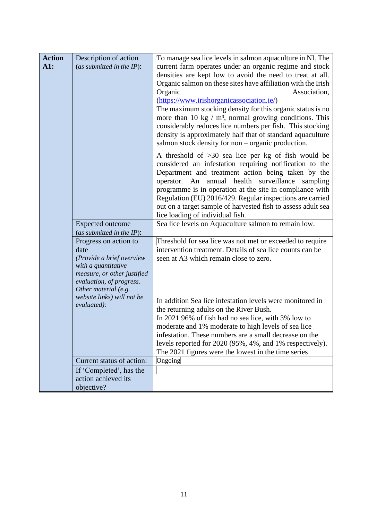| <b>Action</b> | Description of action                              | To manage sea lice levels in salmon aquaculture in NI. The                                                                |
|---------------|----------------------------------------------------|---------------------------------------------------------------------------------------------------------------------------|
| AI:           | (as submitted in the $IP$ ):                       | current farm operates under an organic regime and stock                                                                   |
|               |                                                    | densities are kept low to avoid the need to treat at all.                                                                 |
|               |                                                    | Organic salmon on these sites have affiliation with the Irish                                                             |
|               |                                                    | Organic<br>Association,                                                                                                   |
|               |                                                    | (https://www.irishorganicassociation.ie/)                                                                                 |
|               |                                                    | The maximum stocking density for this organic status is no                                                                |
|               |                                                    | more than 10 kg $/m3$ , normal growing conditions. This                                                                   |
|               |                                                    | considerably reduces lice numbers per fish. This stocking                                                                 |
|               |                                                    | density is approximately half that of standard aquaculture                                                                |
|               |                                                    | salmon stock density for non - organic production.                                                                        |
|               |                                                    | A threshold of $>30$ sea lice per kg of fish would be                                                                     |
|               |                                                    | considered an infestation requiring notification to the                                                                   |
|               |                                                    | Department and treatment action being taken by the                                                                        |
|               |                                                    | operator. An annual health surveillance<br>sampling                                                                       |
|               |                                                    | programme is in operation at the site in compliance with                                                                  |
|               |                                                    | Regulation (EU) 2016/429. Regular inspections are carried<br>out on a target sample of harvested fish to assess adult sea |
|               |                                                    | lice loading of individual fish.                                                                                          |
|               | <b>Expected outcome</b>                            | Sea lice levels on Aquaculture salmon to remain low.                                                                      |
|               | (as submitted in the IP):                          |                                                                                                                           |
|               | Progress on action to                              | Threshold for sea lice was not met or exceeded to require                                                                 |
|               | date                                               | intervention treatment. Details of sea lice counts can be                                                                 |
|               | (Provide a brief overview                          | seen at A3 which remain close to zero.                                                                                    |
|               | with a quantitative                                |                                                                                                                           |
|               | measure, or other justified                        |                                                                                                                           |
|               | evaluation, of progress.                           |                                                                                                                           |
|               | Other material (e.g.<br>website links) will not be |                                                                                                                           |
|               | evaluated):                                        | In addition Sea lice infestation levels were monitored in                                                                 |
|               |                                                    | the returning adults on the River Bush.                                                                                   |
|               |                                                    | In 2021 96% of fish had no sea lice, with 3% low to                                                                       |
|               |                                                    | moderate and 1% moderate to high levels of sea lice                                                                       |
|               |                                                    | infestation. These numbers are a small decrease on the<br>levels reported for 2020 (95%, 4%, and 1% respectively).        |
|               |                                                    | The 2021 figures were the lowest in the time series                                                                       |
|               | Current status of action:                          | Ongoing                                                                                                                   |
|               | If 'Completed', has the                            |                                                                                                                           |
|               | action achieved its                                |                                                                                                                           |
|               | objective?                                         |                                                                                                                           |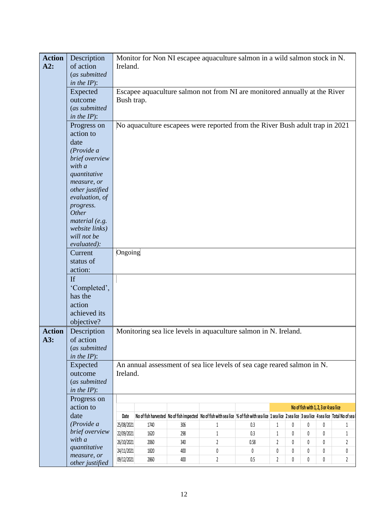| <b>Action</b> | Description                    |            |      |     | Monitor for Non NI escapee aquaculture salmon in a wild salmon stock in N.                                                                                             |         |              |   |   |                                       |                |
|---------------|--------------------------------|------------|------|-----|------------------------------------------------------------------------------------------------------------------------------------------------------------------------|---------|--------------|---|---|---------------------------------------|----------------|
| A2:           | of action                      | Ireland.   |      |     |                                                                                                                                                                        |         |              |   |   |                                       |                |
|               | (as submitted                  |            |      |     |                                                                                                                                                                        |         |              |   |   |                                       |                |
|               | in the $IP$ :                  |            |      |     |                                                                                                                                                                        |         |              |   |   |                                       |                |
|               | Expected                       |            |      |     | Escapee aquaculture salmon not from NI are monitored annually at the River                                                                                             |         |              |   |   |                                       |                |
|               | outcome                        | Bush trap. |      |     |                                                                                                                                                                        |         |              |   |   |                                       |                |
|               | (as submitted                  |            |      |     |                                                                                                                                                                        |         |              |   |   |                                       |                |
|               | in the $IP$ ):                 |            |      |     |                                                                                                                                                                        |         |              |   |   |                                       |                |
|               |                                |            |      |     |                                                                                                                                                                        |         |              |   |   |                                       |                |
|               | Progress on                    |            |      |     | No aquaculture escapees were reported from the River Bush adult trap in 2021                                                                                           |         |              |   |   |                                       |                |
|               | action to                      |            |      |     |                                                                                                                                                                        |         |              |   |   |                                       |                |
|               | date                           |            |      |     |                                                                                                                                                                        |         |              |   |   |                                       |                |
|               | (Provide a                     |            |      |     |                                                                                                                                                                        |         |              |   |   |                                       |                |
|               | brief overview                 |            |      |     |                                                                                                                                                                        |         |              |   |   |                                       |                |
|               | with a                         |            |      |     |                                                                                                                                                                        |         |              |   |   |                                       |                |
|               | quantitative                   |            |      |     |                                                                                                                                                                        |         |              |   |   |                                       |                |
|               | measure, or<br>other justified |            |      |     |                                                                                                                                                                        |         |              |   |   |                                       |                |
|               | evaluation, of                 |            |      |     |                                                                                                                                                                        |         |              |   |   |                                       |                |
|               |                                |            |      |     |                                                                                                                                                                        |         |              |   |   |                                       |                |
|               | progress.<br>Other             |            |      |     |                                                                                                                                                                        |         |              |   |   |                                       |                |
|               | material (e.g.                 |            |      |     |                                                                                                                                                                        |         |              |   |   |                                       |                |
|               | website links)                 |            |      |     |                                                                                                                                                                        |         |              |   |   |                                       |                |
|               | will not be                    |            |      |     |                                                                                                                                                                        |         |              |   |   |                                       |                |
|               | evaluated):                    |            |      |     |                                                                                                                                                                        |         |              |   |   |                                       |                |
|               | Current                        | Ongoing    |      |     |                                                                                                                                                                        |         |              |   |   |                                       |                |
|               | status of                      |            |      |     |                                                                                                                                                                        |         |              |   |   |                                       |                |
|               | action:                        |            |      |     |                                                                                                                                                                        |         |              |   |   |                                       |                |
|               |                                |            |      |     |                                                                                                                                                                        |         |              |   |   |                                       |                |
|               | If                             |            |      |     |                                                                                                                                                                        |         |              |   |   |                                       |                |
|               | 'Completed',                   |            |      |     |                                                                                                                                                                        |         |              |   |   |                                       |                |
|               | has the                        |            |      |     |                                                                                                                                                                        |         |              |   |   |                                       |                |
|               | action                         |            |      |     |                                                                                                                                                                        |         |              |   |   |                                       |                |
|               | achieved its                   |            |      |     |                                                                                                                                                                        |         |              |   |   |                                       |                |
|               | objective?                     |            |      |     |                                                                                                                                                                        |         |              |   |   |                                       |                |
| <b>Action</b> | Description                    |            |      |     | Monitoring sea lice levels in aquaculture salmon in N. Ireland.                                                                                                        |         |              |   |   |                                       |                |
| A3:           | of action                      |            |      |     |                                                                                                                                                                        |         |              |   |   |                                       |                |
|               | (as submitted                  |            |      |     |                                                                                                                                                                        |         |              |   |   |                                       |                |
|               | in the $IP$ ):                 |            |      |     |                                                                                                                                                                        |         |              |   |   |                                       |                |
|               | Expected                       |            |      |     | An annual assessment of sea lice levels of sea cage reared salmon in N.                                                                                                |         |              |   |   |                                       |                |
|               | outcome                        | Ireland.   |      |     |                                                                                                                                                                        |         |              |   |   |                                       |                |
|               | (as submitted                  |            |      |     |                                                                                                                                                                        |         |              |   |   |                                       |                |
|               | in the $IP$ ):                 |            |      |     |                                                                                                                                                                        |         |              |   |   |                                       |                |
|               | Progress on                    |            |      |     |                                                                                                                                                                        |         |              |   |   |                                       |                |
|               | action to                      |            |      |     |                                                                                                                                                                        |         |              |   |   | No of fish with 1, 2, 3 or 4 sea lice |                |
|               | date                           | Date       |      |     | No of fish harvested   No of fish inspected   No of fish with sea lice   % of fish with sea lice   1 sea lice   2 sea lice   3 sea lice   4 sea lice   Total No of sea |         |              |   |   |                                       |                |
|               | (Provide a                     | 25/08/2021 | 1740 | 306 | 1                                                                                                                                                                      | 0.3     | $\mathbf{1}$ | 0 | 0 | 0                                     | 1              |
|               | brief overview                 | 22/09/2021 | 1620 | 298 | 1                                                                                                                                                                      | 0.3     | 1            | 0 | 0 | 0                                     | 1              |
|               | with a                         | 26/10/2021 | 2060 | 340 | 2                                                                                                                                                                      | 0.58    | 2            | 0 | 0 | 0                                     | 2              |
|               | quantitative                   | 24/11/2021 | 1820 | 400 | 0                                                                                                                                                                      | 0       | 0            | 0 | 0 | 0                                     | 0              |
|               | measure, or                    | 09/12/2021 | 2860 | 400 | $\overline{2}$                                                                                                                                                         | $0.5\,$ | 2            | 0 | 0 | 0                                     | $\overline{2}$ |
|               | other justified                |            |      |     |                                                                                                                                                                        |         |              |   |   |                                       |                |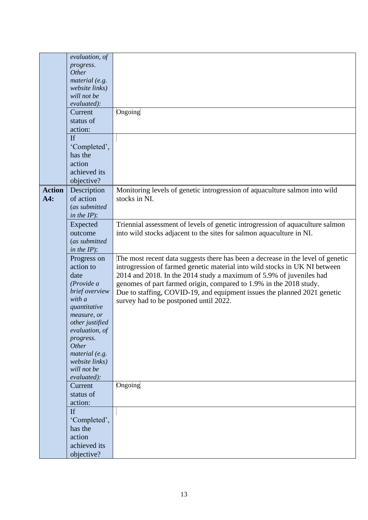|               | evaluation, of             |                                                                                 |
|---------------|----------------------------|---------------------------------------------------------------------------------|
|               | progress.                  |                                                                                 |
|               | Other                      |                                                                                 |
|               | material (e.g.             |                                                                                 |
|               | website links)             |                                                                                 |
|               | will not be                |                                                                                 |
|               | evaluated):                |                                                                                 |
|               | Current                    | Ongoing                                                                         |
|               | status of                  |                                                                                 |
|               | action:                    |                                                                                 |
|               |                            |                                                                                 |
|               | If                         |                                                                                 |
|               | 'Completed',               |                                                                                 |
|               | has the                    |                                                                                 |
|               | action                     |                                                                                 |
|               | achieved its               |                                                                                 |
|               | objective?                 |                                                                                 |
| <b>Action</b> | Description                | Monitoring levels of genetic introgression of aquaculture salmon into wild      |
|               |                            |                                                                                 |
| A4:           | of action                  | stocks in NI.                                                                   |
|               | (as submitted              |                                                                                 |
|               | in the $IP$ :              |                                                                                 |
|               | Expected                   | Triennial assessment of levels of genetic introgression of aquaculture salmon   |
|               | outcome                    | into wild stocks adjacent to the sites for salmon aquaculture in NI.            |
|               | (as submitted              |                                                                                 |
|               | in the $IP$ :              |                                                                                 |
|               | Progress on                | The most recent data suggests there has been a decrease in the level of genetic |
|               |                            |                                                                                 |
|               |                            |                                                                                 |
|               | action to                  | introgression of farmed genetic material into wild stocks in UK NI between      |
|               | date                       | 2014 and 2018. In the 2014 study a maximum of 5.9% of juveniles had             |
|               | (Provide a                 | genomes of part farmed origin, compared to 1.9% in the 2018 study.              |
|               | brief overview             | Due to staffing, COVID-19, and equipment issues the planned 2021 genetic        |
|               | with a                     | survey had to be postponed until 2022.                                          |
|               | quantitative               |                                                                                 |
|               | measure, or                |                                                                                 |
|               | other justified            |                                                                                 |
|               | evaluation, of             |                                                                                 |
|               | progress.                  |                                                                                 |
|               | Other                      |                                                                                 |
|               | material (e.g.             |                                                                                 |
|               | website links)             |                                                                                 |
|               | will not be                |                                                                                 |
|               | evaluated):                |                                                                                 |
|               | Current                    | Ongoing                                                                         |
|               | status of                  |                                                                                 |
|               | action:                    |                                                                                 |
|               |                            |                                                                                 |
|               | If                         |                                                                                 |
|               | 'Completed',               |                                                                                 |
|               | has the                    |                                                                                 |
|               | action                     |                                                                                 |
|               | achieved its<br>objective? |                                                                                 |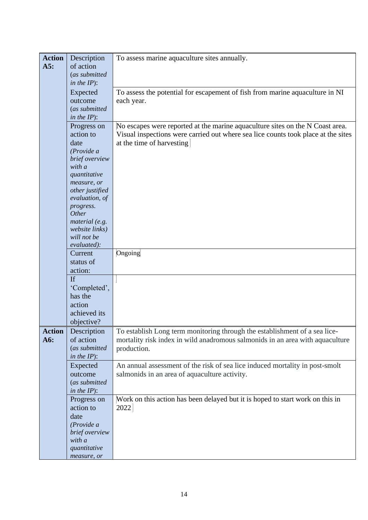| <b>Action</b> | Description      | To assess marine aquaculture sites annually.                                      |
|---------------|------------------|-----------------------------------------------------------------------------------|
| A5:           | of action        |                                                                                   |
|               | (as submitted    |                                                                                   |
|               | in the $IP$ ):   |                                                                                   |
|               |                  |                                                                                   |
|               | Expected         | To assess the potential for escapement of fish from marine aquaculture in NI      |
|               | outcome          | each year.                                                                        |
|               | (as submitted    |                                                                                   |
|               |                  |                                                                                   |
|               | in the $IP$ ):   |                                                                                   |
|               | Progress on      | No escapes were reported at the marine aquaculture sites on the N Coast area.     |
|               | action to        | Visual inspections were carried out where sea lice counts took place at the sites |
|               | date             | at the time of harvesting                                                         |
|               |                  |                                                                                   |
|               | (Provide a       |                                                                                   |
|               | brief overview   |                                                                                   |
|               | with a           |                                                                                   |
|               | quantitative     |                                                                                   |
|               | measure, or      |                                                                                   |
|               | other justified  |                                                                                   |
|               | evaluation, of   |                                                                                   |
|               |                  |                                                                                   |
|               | progress.        |                                                                                   |
|               | Other            |                                                                                   |
|               | material $(e.g.$ |                                                                                   |
|               | website links)   |                                                                                   |
|               | will not be      |                                                                                   |
|               | evaluated):      |                                                                                   |
|               | Current          | Ongoing                                                                           |
|               |                  |                                                                                   |
|               | status of        |                                                                                   |
|               | action:          |                                                                                   |
|               | If               |                                                                                   |
|               | 'Completed',     |                                                                                   |
|               |                  |                                                                                   |
|               | has the          |                                                                                   |
|               | action           |                                                                                   |
|               | achieved its     |                                                                                   |
|               | objective?       |                                                                                   |
|               |                  |                                                                                   |
| <b>Action</b> | Description      | To establish Long term monitoring through the establishment of a sea lice-        |
| A6:           | of action        | mortality risk index in wild anadromous salmonids in an area with aquaculture     |
|               | (as submitted    | production.                                                                       |
|               | in the $IP$ ):   |                                                                                   |
|               |                  | An annual assessment of the risk of sea lice induced mortality in post-smolt      |
|               | Expected         |                                                                                   |
|               | outcome          | salmonids in an area of aquaculture activity.                                     |
|               | (as submitted    |                                                                                   |
|               | in the $IP$ ):   |                                                                                   |
|               | Progress on      | Work on this action has been delayed but it is hoped to start work on this in     |
|               |                  |                                                                                   |
|               | action to        | 2022                                                                              |
|               | date             |                                                                                   |
|               | (Provide a       |                                                                                   |
|               | brief overview   |                                                                                   |
|               | with a           |                                                                                   |
|               | quantitative     |                                                                                   |
|               |                  |                                                                                   |
|               | measure, or      |                                                                                   |